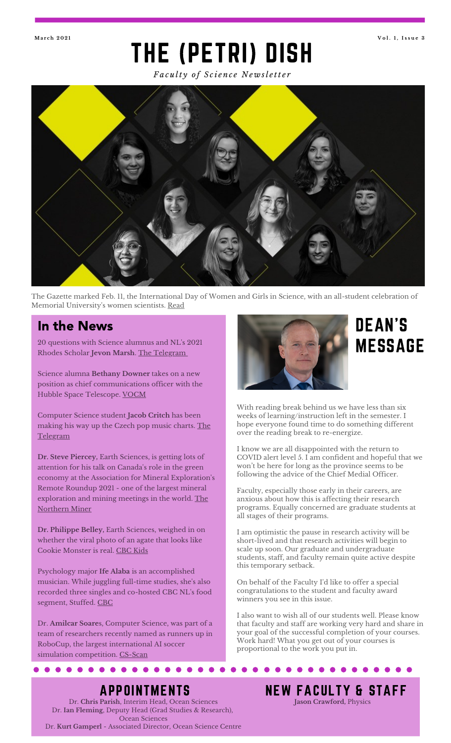# THE (PETRI) DISH **Ma r c h 2 0 2 1 V o l . 1 , I s s u e 3**

*Fa c u lt y o f S c i e n c e N e w sl e tt e r*



The Gazette marked Feb. 11, the International Day of Women and Girls in Science, with an all-student celebration of Memorial University's women scientists. <u>[Read](https://gazette.mun.ca/student-life/all-student-celebration/)</u>

## In the News

20 questions with Science alumnus and NL's 2021 Rhodes Scholar **Jevon Marsh**. The [Telegram](https://www.thetelegram.com/lifestyles/local-lifestyles/20-questions-with-newfoundland-and-labradors-2021-rhodes-scholar-jevon-marsh-536752/)

Science alumna **Bethany Downer** takes on a new position as chief communications officer with the Hubble Space Telescope. [VOCM](https://vocm.com/2021/01/06/newfoundlander-takes-new-position-with-hubble-space-telescope/)

Computer Science student **Jacob Critch** has been making his way up the Czech pop music charts. The [Telegram](https://www.thechronicleherald.ca/lifestyles/regional-lifestyles/st-johns-musician-jacob-critch-makes-the-czech-pop-charts-538530/)

**Dr. Steve Piercey,** Earth Sciences, is getting lots of attention for his talk on Canada ' s role in the green economy at the Association for Mineral Exploration's Remote Roundup 2021 - one of the largest mineral [exploration](https://www.northernminer.com/news/remote-roundup-discusses-canadas-role-in-the-green-economy/1003827371/) and mining meetings in the world. The Northern Miner

**Dr. Philippe Belley,** Earth Sciences, weighed in on whether the viral photo of an agate that looks like Cookie Monster is real. [CBC](https://www.cbc.ca/kidsnews/post/c-is-for-the-cookie-monster-rock-thats-getting-all-the-likes) Kids

Psychology major **Ife Alaba** is an accomplished musician. While juggling full-time studies, she's also recorded three singles and co-hosted CBC NL's food segment, Stuffed. [CBC](https://www.cbc.ca/news/canada/newfoundland-labrador/ife-alaba-first-listen-1.5903073)

Dr. **Amilcar Soare**s, Computer Science, was part of a team of researchers recently named as runners up in RoboCup, the largest international AI soccer simulation competition. [CS-Scan](https://cscan-infocan.ca/feature/dalhousie-team-scores-big-in-robocup-japan-open/)



# DEAN'S **MESSAGE**

With reading break behind us we have less than six weeks of learning/instruction left in the semester. I hope everyone found time to do something different over the reading break to re-energize.

I know we are all disappointed with the return to COVID alert level 5. I am confident and hopeful that we won 't be here for long as the province seems to be following the advice of the Chief Medial Officer.

Faculty, especially those early in their careers, are anxious about how this is affecting their research programs. Equally concerned are graduate students at all stages of their programs.

I am optimistic the pause in research activity will be short-lived and that research activities will begin to scale up soon. Our graduate and undergraduate students, staff, and faculty remain quite active despite this temporary setback.

On behalf of the Faculty I'd like to offer a special congratulations to the student and faculty award winners you see in this issue.

I also want to wish all of our students well. Please know that faculty and staff are working very hard and share in your goal of the successful completion of your courses. Work hard! What you get out of your courses is proportional to the work you put in.

# APPOINTMENTS

 $0 0 0 0 0 0 0 0 0 0 0 0$ 

Dr. **Chris Parish**, Interim Head, Ocean Sciences Dr. **Ian Fleming**, Deputy Head (Grad Studies & Research), Ocean Sciences Dr. **Kurt Gamperl** - Associated Director, Ocean Science Centre NEW FACULTY & STAFF

**Jason Crawford,** Physics